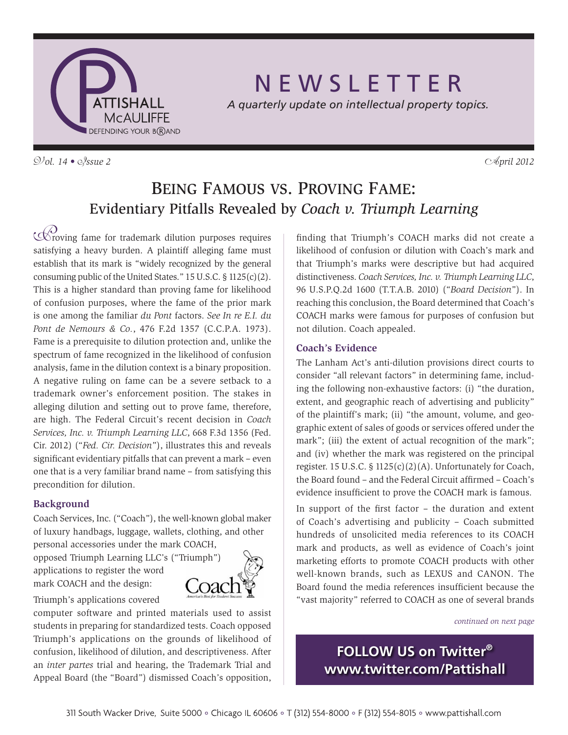

# N E W S L E T T E R

*A quarterly update on intellectual property topics.*

 $\mathcal{D}/\mathcal{O}l$ . 14 •  $\mathcal{O}/\mathcal{S}$ *sue 2*  $\mathcal{O}/\mathcal{O}l$ 

# Being Famous vs. Proving Fame: Evidentiary Pitfalls Revealed by *Coach v. Triumph Learning*

 $\mathcal{P}$  roving fame for trademark dilution purposes requires satisfying a heavy burden. A plaintiff alleging fame must establish that its mark is "widely recognized by the general consuming public of the United States." 15 U.S.C. § 1125(c)(2). This is a higher standard than proving fame for likelihood of confusion purposes, where the fame of the prior mark is one among the familiar *du Pont* factors. *See In re E.I. du Pont de Nemours & Co.*, 476 F.2d 1357 (C.C.P.A. 1973). Fame is a prerequisite to dilution protection and, unlike the spectrum of fame recognized in the likelihood of confusion analysis, fame in the dilution context is a binary proposition. A negative ruling on fame can be a severe setback to a trademark owner's enforcement position. The stakes in alleging dilution and setting out to prove fame, therefore, are high. The Federal Circuit's recent decision in *Coach Services, Inc. v. Triumph Learning LLC*, 668 F.3d 1356 (Fed. Cir. 2012) ("*Fed. Cir. Decision*"), illustrates this and reveals significant evidentiary pitfalls that can prevent a mark – even one that is a very familiar brand name – from satisfying this precondition for dilution.

### **Background**

Coach Services, Inc. ("Coach"), the well-known global maker of luxury handbags, luggage, wallets, clothing, and other personal accessories under the mark COACH,

opposed Triumph Learning LLC's ("Triumph") applications to register the word mark COACH and the design:



Triumph's applications covered

computer software and printed materials used to assist students in preparing for standardized tests. Coach opposed Triumph's applications on the grounds of likelihood of confusion, likelihood of dilution, and descriptiveness. After an *inter partes* trial and hearing, the Trademark Trial and Appeal Board (the "Board") dismissed Coach's opposition,

finding that Triumph's COACH marks did not create a likelihood of confusion or dilution with Coach's mark and that Triumph's marks were descriptive but had acquired distinctiveness. *Coach Services, Inc. v. Triumph Learning LLC*, 96 U.S.P.Q.2d 1600 (T.T.A.B. 2010) ("*Board Decision*"). In reaching this conclusion, the Board determined that Coach's COACH marks were famous for purposes of confusion but not dilution. Coach appealed.

### **Coach's Evidence**

The Lanham Act's anti-dilution provisions direct courts to consider "all relevant factors" in determining fame, including the following non-exhaustive factors: (i) "the duration, extent, and geographic reach of advertising and publicity" of the plaintiff's mark; (ii) "the amount, volume, and geographic extent of sales of goods or services offered under the mark"; (iii) the extent of actual recognition of the mark"; and (iv) whether the mark was registered on the principal register. 15 U.S.C. § 1125(c)(2)(A). Unfortunately for Coach, the Board found – and the Federal Circuit affirmed – Coach's evidence insufficient to prove the COACH mark is famous.

In support of the first factor – the duration and extent of Coach's advertising and publicity – Coach submitted hundreds of unsolicited media references to its COACH mark and products, as well as evidence of Coach's joint marketing efforts to promote COACH products with other well-known brands, such as LEXUS and CANON. The Board found the media references insufficient because the "vast majority" referred to COACH as one of several brands

*continued on next page*

**FOLLOW US on Twitter® www.twitter.com/Pattishall**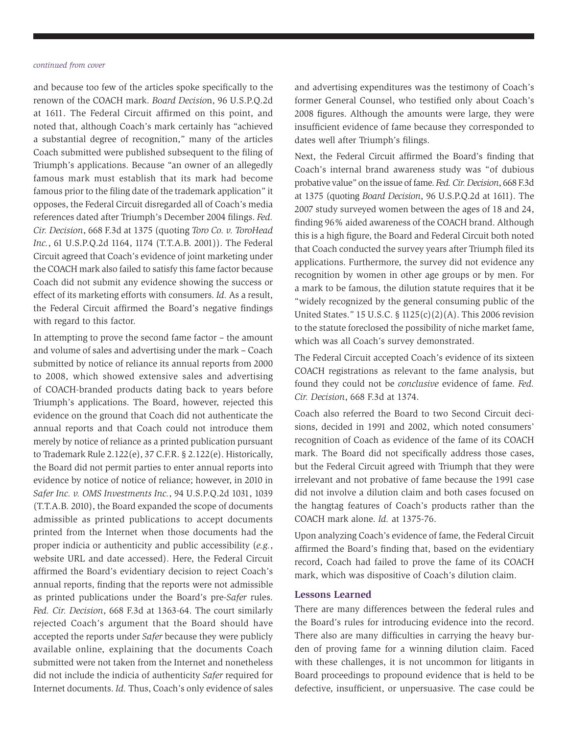#### *continued from cover*

and because too few of the articles spoke specifically to the renown of the COACH mark. *Board Decisio*n, 96 U.S.P.Q.2d at 1611. The Federal Circuit affirmed on this point, and noted that, although Coach's mark certainly has "achieved a substantial degree of recognition," many of the articles Coach submitted were published subsequent to the filing of Triumph's applications. Because "an owner of an allegedly famous mark must establish that its mark had become famous prior to the filing date of the trademark application" it opposes, the Federal Circuit disregarded all of Coach's media references dated after Triumph's December 2004 filings. *Fed. Cir. Decision*, 668 F.3d at 1375 (quoting *Toro Co. v. ToroHead Inc.*, 61 U.S.P.Q.2d 1164, 1174 (T.T.A.B. 2001)). The Federal Circuit agreed that Coach's evidence of joint marketing under the COACH mark also failed to satisfy this fame factor because Coach did not submit any evidence showing the success or effect of its marketing efforts with consumers. *Id.* As a result, the Federal Circuit affirmed the Board's negative findings with regard to this factor.

In attempting to prove the second fame factor – the amount and volume of sales and advertising under the mark – Coach submitted by notice of reliance its annual reports from 2000 to 2008, which showed extensive sales and advertising of COACH-branded products dating back to years before Triumph's applications. The Board, however, rejected this evidence on the ground that Coach did not authenticate the annual reports and that Coach could not introduce them merely by notice of reliance as a printed publication pursuant to Trademark Rule 2.122(e), 37 C.F.R. § 2.122(e). Historically, the Board did not permit parties to enter annual reports into evidence by notice of notice of reliance; however, in 2010 in *Safer Inc. v. OMS Investments Inc.*, 94 U.S.P.Q.2d 1031, 1039 (T.T.A.B. 2010), the Board expanded the scope of documents admissible as printed publications to accept documents printed from the Internet when those documents had the proper indicia or authenticity and public accessibility (*e.g.*, website URL and date accessed). Here, the Federal Circuit affirmed the Board's evidentiary decision to reject Coach's annual reports, finding that the reports were not admissible as printed publications under the Board's pre-*Safer* rules. *Fed. Cir. Decision*, 668 F.3d at 1363-64. The court similarly rejected Coach's argument that the Board should have accepted the reports under *Safer* because they were publicly available online, explaining that the documents Coach submitted were not taken from the Internet and nonetheless did not include the indicia of authenticity *Safer* required for Internet documents. *Id.* Thus, Coach's only evidence of sales

and advertising expenditures was the testimony of Coach's former General Counsel, who testified only about Coach's 2008 figures. Although the amounts were large, they were insufficient evidence of fame because they corresponded to dates well after Triumph's filings.

Next, the Federal Circuit affirmed the Board's finding that Coach's internal brand awareness study was "of dubious probative value" on the issue of fame. *Fed. Cir. Decision*, 668 F.3d at 1375 (quoting *Board Decision*, 96 U.S.P.Q.2d at 1611). The 2007 study surveyed women between the ages of 18 and 24, finding 96% aided awareness of the COACH brand. Although this is a high figure, the Board and Federal Circuit both noted that Coach conducted the survey years after Triumph filed its applications. Furthermore, the survey did not evidence any recognition by women in other age groups or by men. For a mark to be famous, the dilution statute requires that it be "widely recognized by the general consuming public of the United States." 15 U.S.C. § 1125(c)(2)(A). This 2006 revision to the statute foreclosed the possibility of niche market fame, which was all Coach's survey demonstrated.

The Federal Circuit accepted Coach's evidence of its sixteen COACH registrations as relevant to the fame analysis, but found they could not be *conclusive* evidence of fame. *Fed. Cir. Decision*, 668 F.3d at 1374.

Coach also referred the Board to two Second Circuit decisions, decided in 1991 and 2002, which noted consumers' recognition of Coach as evidence of the fame of its COACH mark. The Board did not specifically address those cases, but the Federal Circuit agreed with Triumph that they were irrelevant and not probative of fame because the 1991 case did not involve a dilution claim and both cases focused on the hangtag features of Coach's products rather than the COACH mark alone. *Id.* at 1375-76.

Upon analyzing Coach's evidence of fame, the Federal Circuit affirmed the Board's finding that, based on the evidentiary record, Coach had failed to prove the fame of its COACH mark, which was dispositive of Coach's dilution claim.

### **Lessons Learned**

There are many differences between the federal rules and the Board's rules for introducing evidence into the record. There also are many difficulties in carrying the heavy burden of proving fame for a winning dilution claim. Faced with these challenges, it is not uncommon for litigants in Board proceedings to propound evidence that is held to be defective, insufficient, or unpersuasive. The case could be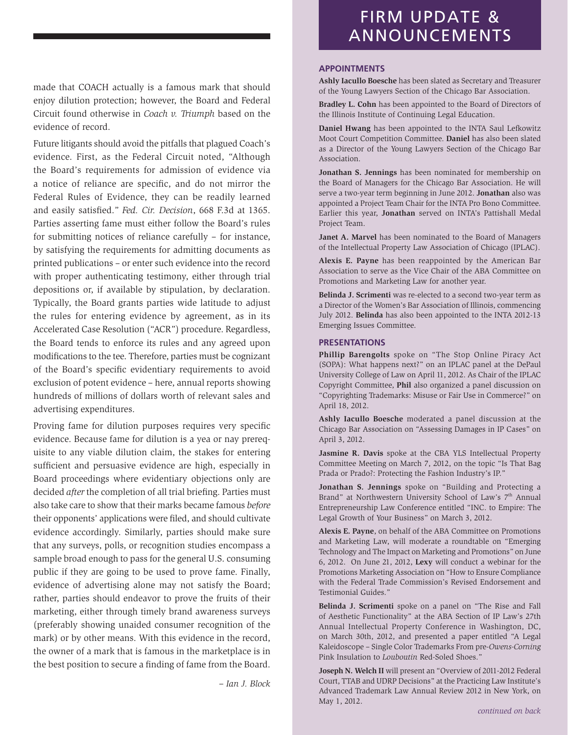made that COACH actually is a famous mark that should enjoy dilution protection; however, the Board and Federal Circuit found otherwise in *Coach v. Triumph* based on the evidence of record.

Future litigants should avoid the pitfalls that plagued Coach's evidence. First, as the Federal Circuit noted, "Although the Board's requirements for admission of evidence via a notice of reliance are specific, and do not mirror the Federal Rules of Evidence, they can be readily learned and easily satisfied." *Fed. Cir. Decision*, 668 F.3d at 1365. Parties asserting fame must either follow the Board's rules for submitting notices of reliance carefully – for instance, by satisfying the requirements for admitting documents as printed publications – or enter such evidence into the record with proper authenticating testimony, either through trial depositions or, if available by stipulation, by declaration. Typically, the Board grants parties wide latitude to adjust the rules for entering evidence by agreement, as in its Accelerated Case Resolution ("ACR") procedure. Regardless, the Board tends to enforce its rules and any agreed upon modifications to the tee. Therefore, parties must be cognizant of the Board's specific evidentiary requirements to avoid exclusion of potent evidence – here, annual reports showing hundreds of millions of dollars worth of relevant sales and advertising expenditures.

Proving fame for dilution purposes requires very specific evidence. Because fame for dilution is a yea or nay prerequisite to any viable dilution claim, the stakes for entering sufficient and persuasive evidence are high, especially in Board proceedings where evidentiary objections only are decided *after* the completion of all trial briefing. Parties must also take care to show that their marks became famous *before*  their opponents' applications were filed, and should cultivate evidence accordingly. Similarly, parties should make sure that any surveys, polls, or recognition studies encompass a sample broad enough to pass for the general U.S. consuming public if they are going to be used to prove fame. Finally, evidence of advertising alone may not satisfy the Board; rather, parties should endeavor to prove the fruits of their marketing, either through timely brand awareness surveys (preferably showing unaided consumer recognition of the mark) or by other means. With this evidence in the record, the owner of a mark that is famous in the marketplace is in the best position to secure a finding of fame from the Board.

*– Ian J. Block*

## FIRM UPDATE & ANNOUNCEMENTS

### **APPOINTMENTS**

**Ashly Iacullo Boesche** has been slated as Secretary and Treasurer of the Young Lawyers Section of the Chicago Bar Association.

**Bradley L. Cohn** has been appointed to the Board of Directors of the Illinois Institute of Continuing Legal Education.

**Daniel Hwang** has been appointed to the INTA Saul Lefkowitz Moot Court Competition Committee. **Daniel** has also been slated as a Director of the Young Lawyers Section of the Chicago Bar Association.

**Jonathan S. Jennings** has been nominated for membership on the Board of Managers for the Chicago Bar Association. He will serve a two-year term beginning in June 2012. **Jonathan** also was appointed a Project Team Chair for the INTA Pro Bono Committee. Earlier this year, **Jonathan** served on INTA's Pattishall Medal Project Team.

**Janet A. Marvel** has been nominated to the Board of Managers of the Intellectual Property Law Association of Chicago (IPLAC).

**Alexis E. Payne** has been reappointed by the American Bar Association to serve as the Vice Chair of the ABA Committee on Promotions and Marketing Law for another year.

**Belinda J. Scrimenti** was re-elected to a second two-year term as a Director of the Women's Bar Association of Illinois, commencing July 2012. **Belinda** has also been appointed to the INTA 2012-13 Emerging Issues Committee.

#### **PRESENTATIONS**

**Phillip Barengolts** spoke on "The Stop Online Piracy Act (SOPA): What happens next?" on an IPLAC panel at the DePaul University College of Law on April 11, 2012. As Chair of the IPLAC Copyright Committee, **Phil** also organized a panel discussion on "Copyrighting Trademarks: Misuse or Fair Use in Commerce?" on April 18, 2012.

**Ashly Iacullo Boesche** moderated a panel discussion at the Chicago Bar Association on "Assessing Damages in IP Cases" on April 3, 2012.

**Jasmine R. Davis** spoke at the CBA YLS Intellectual Property Committee Meeting on March 7, 2012, on the topic "Is That Bag Prada or Prado?: Protecting the Fashion Industry's IP."

**Jonathan S. Jennings** spoke on "Building and Protecting a Brand" at Northwestern University School of Law's 7<sup>th</sup> Annual Entrepreneurship Law Conference entitled "INC. to Empire: The Legal Growth of Your Business" on March 3, 2012.

**Alexis E. Payne**, on behalf of the ABA Committee on Promotions and Marketing Law, will moderate a roundtable on "Emerging Technology and The Impact on Marketing and Promotions" on June 6, 2012. On June 21, 2012, **Lexy** will conduct a webinar for the Promotions Marketing Association on "How to Ensure Compliance with the Federal Trade Commission's Revised Endorsement and Testimonial Guides."

**Belinda J. Scrimenti** spoke on a panel on "The Rise and Fall of Aesthetic Functionality" at the ABA Section of IP Law's 27th Annual Intellectual Property Conference in Washington, DC, on March 30th, 2012, and presented a paper entitled "A Legal Kaleidoscope – Single Color Trademarks From pre-*Owens-Corning* Pink Insulation to *Louboutin* Red-Soled Shoes."

**Joseph N. Welch II** will present an "Overview of 2011-2012 Federal Court, TTAB and UDRP Decisions" at the Practicing Law Institute's Advanced Trademark Law Annual Review 2012 in New York, on May 1, 2012.